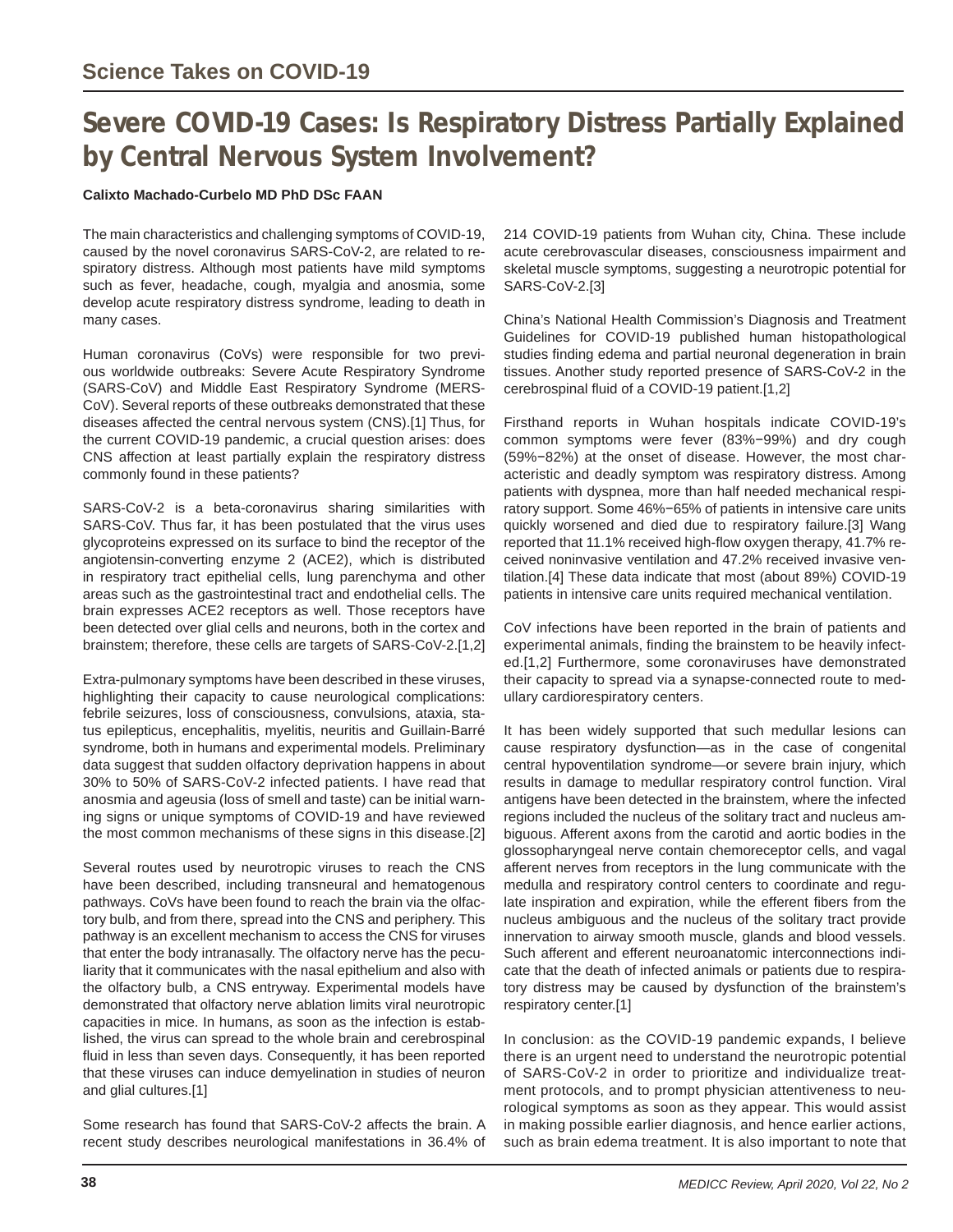## **Severe COVID-19 Cases: Is Respiratory Distress Partially Explained by Central Nervous System Involvement?**

## **Calixto Machado-Curbelo MD PhD DSc FAAN**

The main characteristics and challenging symptoms of COVID-19, caused by the novel coronavirus SARS-CoV-2, are related to respiratory distress. Although most patients have mild symptoms such as fever, headache, cough, myalgia and anosmia, some develop acute respiratory distress syndrome, leading to death in many cases.

Human coronavirus (CoVs) were responsible for two previous worldwide outbreaks: Severe Acute Respiratory Syndrome (SARS-CoV) and Middle East Respiratory Syndrome (MERS-CoV). Several reports of these outbreaks demonstrated that these diseases affected the central nervous system (CNS).[1] Thus, for the current COVID-19 pandemic, a crucial question arises: does CNS affection at least partially explain the respiratory distress commonly found in these patients?

SARS-CoV-2 is a beta-coronavirus sharing similarities with SARS-CoV. Thus far, it has been postulated that the virus uses glycoproteins expressed on its surface to bind the receptor of the angiotensin-converting enzyme 2 (ACE2), which is distributed in respiratory tract epithelial cells, lung parenchyma and other areas such as the gastrointestinal tract and endothelial cells. The brain expresses ACE2 receptors as well. Those receptors have been detected over glial cells and neurons, both in the cortex and brainstem; therefore, these cells are targets of SARS-CoV-2.[1,2]

Extra-pulmonary symptoms have been described in these viruses, highlighting their capacity to cause neurological complications: febrile seizures, loss of consciousness, convulsions, ataxia, status epilepticus, encephalitis, myelitis, neuritis and Guillain-Barré syndrome, both in humans and experimental models. Preliminary data suggest that sudden olfactory deprivation happens in about 30% to 50% of SARS-CoV-2 infected patients. I have read that anosmia and ageusia (loss of smell and taste) can be initial warning signs or unique symptoms of COVID-19 and have reviewed the most common mechanisms of these signs in this disease.[2]

Several routes used by neurotropic viruses to reach the CNS have been described, including transneural and hematogenous pathways. CoVs have been found to reach the brain via the olfactory bulb, and from there, spread into the CNS and periphery. This pathway is an excellent mechanism to access the CNS for viruses that enter the body intranasally. The olfactory nerve has the peculiarity that it communicates with the nasal epithelium and also with the olfactory bulb, a CNS entryway. Experimental models have demonstrated that olfactory nerve ablation limits viral neurotropic capacities in mice. In humans, as soon as the infection is established, the virus can spread to the whole brain and cerebrospinal fluid in less than seven days. Consequently, it has been reported that these viruses can induce demyelination in studies of neuron and glial cultures.[1]

Some research has found that SARS-CoV-2 affects the brain. A recent study describes neurological manifestations in 36.4% of

214 COVID-19 patients from Wuhan city, China. These include acute cerebrovascular diseases, consciousness impairment and skeletal muscle symptoms, suggesting a neurotropic potential for SARS-CoV-2.[3]

China's National Health Commission's Diagnosis and Treatment Guidelines for COVID-19 published human histopathological studies finding edema and partial neuronal degeneration in brain tissues. Another study reported presence of SARS-CoV-2 in the cerebrospinal fluid of a COVID-19 patient.[1,2]

Firsthand reports in Wuhan hospitals indicate COVID-19's common symptoms were fever (83%−99%) and dry cough (59%−82%) at the onset of disease. However, the most characteristic and deadly symptom was respiratory distress. Among patients with dyspnea, more than half needed mechanical respiratory support. Some 46%−65% of patients in intensive care units quickly worsened and died due to respiratory failure.[3] Wang reported that 11.1% received high-flow oxygen therapy, 41.7% received noninvasive ventilation and 47.2% received invasive ventilation.[4] These data indicate that most (about 89%) COVID-19 patients in intensive care units required mechanical ventilation.

CoV infections have been reported in the brain of patients and experimental animals, finding the brainstem to be heavily infected.[1,2] Furthermore, some coronaviruses have demonstrated their capacity to spread via a synapse-connected route to medullary cardiorespiratory centers.

It has been widely supported that such medullar lesions can cause respiratory dysfunction—as in the case of congenital central hypoventilation syndrome—or severe brain injury, which results in damage to medullar respiratory control function. Viral antigens have been detected in the brainstem, where the infected regions included the nucleus of the solitary tract and nucleus ambiguous. Afferent axons from the carotid and aortic bodies in the glossopharyngeal nerve contain chemoreceptor cells, and vagal afferent nerves from receptors in the lung communicate with the medulla and respiratory control centers to coordinate and regulate inspiration and expiration, while the efferent fibers from the nucleus ambiguous and the nucleus of the solitary tract provide innervation to airway smooth muscle, glands and blood vessels. Such afferent and efferent neuroanatomic interconnections indicate that the death of infected animals or patients due to respiratory distress may be caused by dysfunction of the brainstem's respiratory center.[1]

In conclusion: as the COVID-19 pandemic expands, I believe there is an urgent need to understand the neurotropic potential of SARS-CoV-2 in order to prioritize and individualize treatment protocols, and to prompt physician attentiveness to neurological symptoms as soon as they appear. This would assist in making possible earlier diagnosis, and hence earlier actions, such as brain edema treatment. It is also important to note that